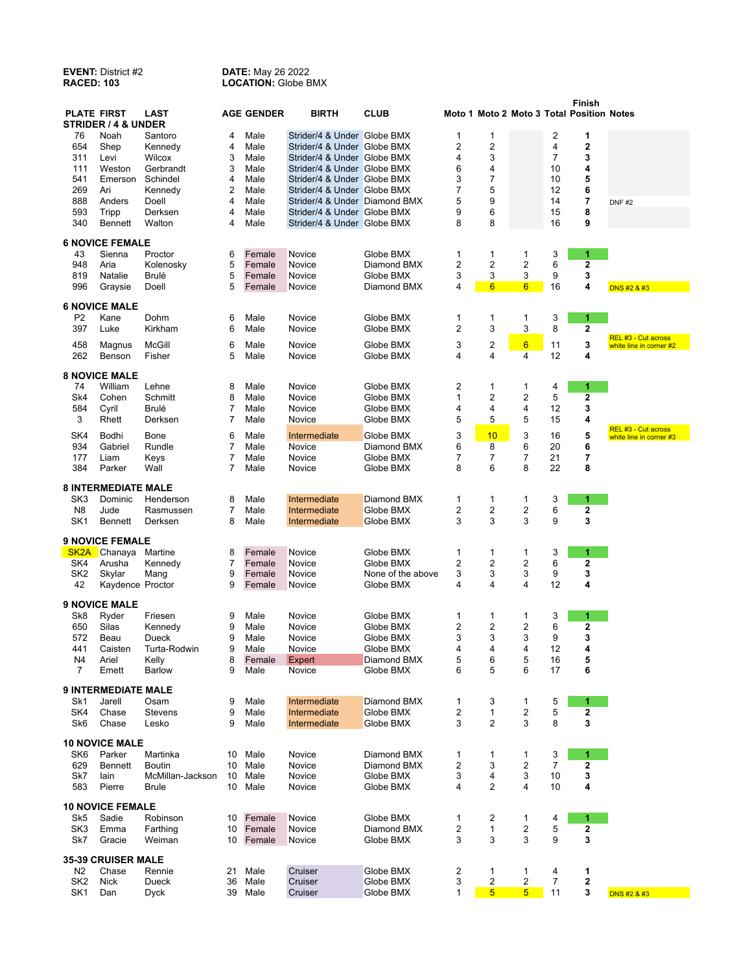## **EVENT:** District #2 **DATE:** May 26 2022 **RACED: 103 LOCATION:** Globe BMX

| <b>PLATE FIRST</b>                                               |                            | <b>LAST</b>            |        | <b>AGE GENDER</b> | <b>BIRTH</b>                                               | <b>CLUB</b>              |        |                     |                         |                | <b>Finish</b>    |                                                |
|------------------------------------------------------------------|----------------------------|------------------------|--------|-------------------|------------------------------------------------------------|--------------------------|--------|---------------------|-------------------------|----------------|------------------|------------------------------------------------|
| Moto 1 Moto 2 Moto 3 Total Position Notes<br>STRIDER / 4 & UNDER |                            |                        |        |                   |                                                            |                          |        |                     |                         |                |                  |                                                |
| 76                                                               | Noah                       | Santoro                | 4      | Male              | Strider/4 & Under Globe BMX                                |                          | 1      | 1                   |                         | 2              | 1                |                                                |
| 654<br>311                                                       | Shep<br>Levi               | Kennedy<br>Wilcox      | 4<br>3 | Male<br>Male      | Strider/4 & Under Globe BMX<br>Strider/4 & Under Globe BMX |                          | 2<br>4 | $\overline{2}$<br>3 |                         | 4<br>7         | $\mathbf 2$<br>3 |                                                |
| 111                                                              | Weston                     | Gerbrandt              | 3      | Male              | Strider/4 & Under Globe BMX                                |                          | 6      | 4                   |                         | 10             | 4                |                                                |
| 541                                                              | Emerson                    | Schindel               | 4      | Male              | Strider/4 & Under Globe BMX                                |                          | 3      | 7                   |                         | 10             | 5                |                                                |
| 269                                                              | Ari                        | Kennedy                | 2      | Male              | Strider/4 & Under Globe BMX                                |                          | 7      | 5                   |                         | 12             | 6                |                                                |
| 888                                                              | Anders                     | Doell                  | 4      | Male              | Strider/4 & Under Diamond BMX                              |                          | 5      | 9                   |                         | 14             | 7                | DNF#2                                          |
| 593                                                              | Tripp                      | Derksen                | 4      | Male              | Strider/4 & Under Globe BMX                                |                          | 9      | 6                   |                         | 15             | 8                |                                                |
| 340                                                              | <b>Bennett</b>             | Walton                 | 4      | Male              | Strider/4 & Under Globe BMX                                |                          | 8      | 8                   |                         | 16             | 9                |                                                |
|                                                                  | <b>6 NOVICE FEMALE</b>     |                        |        |                   |                                                            |                          |        |                     |                         |                |                  |                                                |
| 43                                                               | Sienna                     | Proctor                | 6      | Female            | Novice                                                     | Globe BMX                | 1      | 1                   | 1                       | 3              | 1                |                                                |
| 948                                                              | Aria                       | Kolenosky              | 5      | Female            | Novice                                                     | Diamond BMX              | 2      | 2                   | 2                       | 6              | 2                |                                                |
| 819                                                              | Natalie                    | Brulé                  | 5      | Female            | Novice                                                     | Globe BMX                | 3      | 3                   | 3                       | 9              | 3                |                                                |
| 996                                                              | Graysie                    | Doell                  | 5      | Female            | Novice                                                     | Diamond BMX              | 4      | $6\phantom{1}$      | $6\overline{6}$         | 16             | 4                | DNS #2 & #3                                    |
|                                                                  | <b>6 NOVICE MALE</b>       |                        |        |                   |                                                            |                          |        |                     |                         |                |                  |                                                |
| P <sub>2</sub>                                                   | Kane                       | Dohm                   | 6      | Male              | Novice                                                     | Globe BMX                | 1      | 1                   | 1                       | 3              | 1                |                                                |
| 397                                                              | Luke                       | Kirkham                | 6      | Male              | Novice                                                     | Globe BMX                | 2      | 3                   | 3                       | 8              | 2                | REL #3 - Cut across                            |
| 458                                                              | Magnus                     | <b>McGill</b>          | 6      | Male              | Novice                                                     | Globe BMX                | 3      | 2                   | 6                       | 11             | 3                | white line in corner #2                        |
| 262                                                              | Benson                     | Fisher                 | 5      | Male              | Novice                                                     | Globe BMX                | 4      | 4                   | 4                       | 12             | 4                |                                                |
|                                                                  | <b>8 NOVICE MALE</b>       |                        |        |                   |                                                            |                          |        |                     |                         |                |                  |                                                |
| 74                                                               | William                    | Lehne                  | 8      | Male              | Novice                                                     | Globe BMX                | 2      | 1                   | 1                       | 4              | 1                |                                                |
| Sk4                                                              | Cohen                      | Schmitt                | 8      | Male              | Novice                                                     | Globe BMX                | 1      | 2                   | 2                       | 5              | 2                |                                                |
| 584                                                              | Cyril                      | Brulé                  | 7      | Male              | Novice                                                     | Globe BMX                | 4      | 4                   | 4                       | 12             | 3                |                                                |
| 3                                                                | Rhett                      | Derksen                | 7      | Male              | Novice                                                     | Globe BMX                | 5      | 5                   | 5                       | 15             | 4                |                                                |
| SK4                                                              | Bodhi                      | Bone                   | 6      | Male              | Intermediate                                               | Globe BMX                | 3      | 10                  | 3                       | 16             | 5                | REL #3 - Cut across<br>white line in corner #3 |
| 934                                                              | Gabriel                    | Rundle                 | 7      | Male              | Novice                                                     | Diamond BMX              | 6      | 8                   | 6                       | 20             | 6                |                                                |
| 177                                                              | Liam                       | Keys                   | 7      | Male              | Novice                                                     | Globe BMX                | 7      | 7                   | 7                       | 21             | 7                |                                                |
| 384                                                              | Parker                     | Wall                   | 7      | Male              | Novice                                                     | Globe BMX                | 8      | 6                   | 8                       | 22             | 8                |                                                |
|                                                                  | <b>8 INTERMEDIATE MALE</b> |                        |        |                   |                                                            |                          |        |                     |                         |                |                  |                                                |
| SK3                                                              | Dominic                    | Henderson              | 8      | Male              | Intermediate                                               | Diamond BMX              | 1      | 1                   | 1                       | 3              | 1                |                                                |
| N <sub>8</sub>                                                   | Jude                       | Rasmussen              | 7      | Male              | Intermediate                                               | Globe BMX                | 2      | 2                   | 2                       | 6              | 2                |                                                |
| SK1                                                              | Bennett                    | Derksen                | 8      | Male              | Intermediate                                               | Globe BMX                | 3      | 3                   | 3                       | 9              | 3                |                                                |
|                                                                  | <b>9 NOVICE FEMALE</b>     |                        |        |                   |                                                            |                          |        |                     |                         |                |                  |                                                |
| SK <sub>2</sub> A                                                | Chanaya                    | Martine                | 8      | Female            | Novice                                                     | Globe BMX                | 1      | 1                   | 1                       | 3              | 1                |                                                |
| SK4                                                              | Arusha                     | Kennedy                | 7      | Female            | Novice                                                     | Globe BMX                | 2      | 2                   | 2                       | 6              | $\mathbf{2}$     |                                                |
| SK2                                                              | Skylar                     | Mang                   | 9      | Female            | Novice                                                     | None of the above        | 3      | 3                   | 3                       | 9              | 3                |                                                |
| 42                                                               | Kaydence Proctor           |                        | 9      | Female            | Novice                                                     | Globe BMX                | 4      | 4                   | 4                       | 12             | 4                |                                                |
|                                                                  | <b>9 NOVICE MALE</b>       |                        |        |                   |                                                            |                          |        |                     |                         |                |                  |                                                |
| Sk8                                                              | Ryder                      | Friesen                | 9      | Male              | Novice                                                     | Globe BMX                | 1      | 1                   | 1                       | 3              | 1                |                                                |
| 650                                                              | Silas                      | Kennedy                | 9      | Male              | Novice                                                     | Globe BMX                | 2      | 2                   | 2                       | 6              | 2                |                                                |
| 572                                                              | Beau                       | Dueck                  | 9      | Male              | Novice                                                     | Globe BMX                | 3      | 3                   | 3                       | 9              | 3                |                                                |
| 441                                                              | Caisten                    | Turta-Rodwin           | 9      | Male              | Novice                                                     | Globe BMX                | 4      | 4                   | 4                       | 12             | 4                |                                                |
| N4                                                               | Ariel                      | Kelly<br><b>Barlow</b> | 8      | Female            | Expert                                                     | Diamond BMX<br>Globe BMX | 5      | 6                   | 5                       | 16             | 5                |                                                |
| 7                                                                | Emett                      |                        | 9      | Male              | Novice                                                     |                          | 6      | 5                   | 6                       | 17             | 6                |                                                |
|                                                                  | <b>9 INTERMEDIATE MALE</b> |                        |        |                   |                                                            |                          |        |                     |                         |                |                  |                                                |
| Sk1                                                              | Jarell                     | Osam                   | 9      | Male              | Intermediate                                               | Diamond BMX              | 1      | 3                   | 1                       | 5              | 1                |                                                |
| SK4                                                              | Chase                      | Stevens                | 9      | Male              | Intermediate                                               | Globe BMX                | 2      | 1                   | 2                       | 5              | 2                |                                                |
| Sk6                                                              | Chase                      | Lesko                  | 9      | Male              | Intermediate                                               | Globe BMX                | 3      | 2                   | 3                       | 8              | 3                |                                                |
| <b>10 NOVICE MALE</b>                                            |                            |                        |        |                   |                                                            |                          |        |                     |                         |                |                  |                                                |
| SK <sub>6</sub>                                                  | Parker                     | Martinka               |        | 10 Male           | Novice                                                     | Diamond BMX              | 1      | 1                   | 1                       | 3              | 1                |                                                |
| 629                                                              | Bennett                    | <b>Boutin</b>          | 10     | Male              | Novice                                                     | Diamond BMX              | 2      | 3                   | 2                       | $\overline{7}$ | 2                |                                                |
| Sk7                                                              | lain                       | McMillan-Jackson       |        | 10 Male           | Novice                                                     | Globe BMX                | 3      | 4                   | 3                       | 10             | 3                |                                                |
| 583                                                              | Pierre                     | <b>Brule</b>           |        | 10 Male           | Novice                                                     | Globe BMX                | 4      | $\overline{2}$      | 4                       | 10             | 4                |                                                |
| <b>10 NOVICE FEMALE</b>                                          |                            |                        |        |                   |                                                            |                          |        |                     |                         |                |                  |                                                |
| Sk5                                                              | Sadie                      | Robinson               | 10     | Female            | Novice                                                     | Globe BMX                | 1      | 2                   | 1                       | 4              | 1                |                                                |
| SK <sub>3</sub>                                                  | Emma                       | Farthing               | 10     | Female            | Novice                                                     | Diamond BMX              | 2      | 1                   | $\overline{\mathbf{c}}$ | 5              | 2                |                                                |
| Sk7                                                              | Gracie                     | Weiman                 | 10     | Female            | Novice                                                     | Globe BMX                | 3      | 3                   | 3                       | 9              | 3                |                                                |
|                                                                  | <b>35-39 CRUISER MALE</b>  |                        |        |                   |                                                            |                          |        |                     |                         |                |                  |                                                |
| N <sub>2</sub>                                                   | Chase                      | Rennie                 | 21     | Male              | Cruiser                                                    | Globe BMX                | 2      | 1                   | 1                       | 4              | 1                |                                                |
| SK <sub>2</sub>                                                  | Nick                       | Dueck                  | 36     | Male              | Cruiser                                                    | Globe BMX                | 3      | 2                   | 2                       | 7              | 2                |                                                |
| SK1                                                              | Dan                        | <b>Dyck</b>            |        | 39 Male           | Cruiser                                                    | Globe BMX                | 1      | $5\overline{)}$     | $5\overline{)}$         | 11             | 3                | DNS #2 & #3                                    |